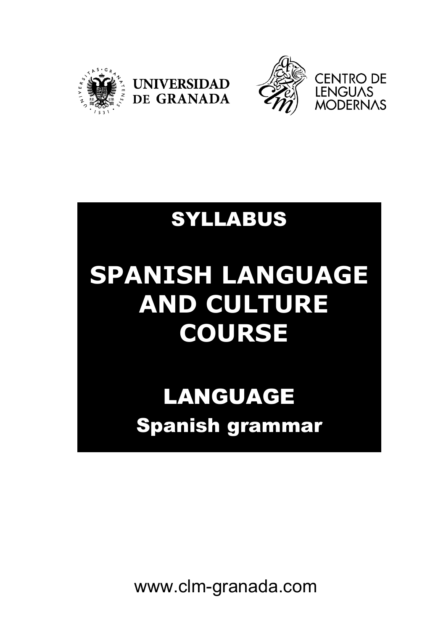



## SYLLABUS

**UNIVERSIDAD** 

DE GRANADA

# **SPANISH LANGUAGE AND CULTURE COURSE**

# LANGUAGE Spanish grammar

www.clm-granada.com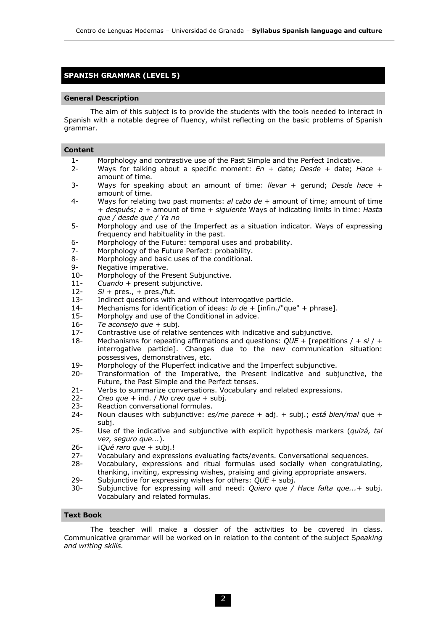### **SPANISH GRAMMAR (LEVEL 5)**

#### **General Description**

The aim of this subject is to provide the students with the tools needed to interact in Spanish with a notable degree of fluency, whilst reflecting on the basic problems of Spanish grammar.

| <b>Content</b> |  |
|----------------|--|

- 1- Morphology and contrastive use of the Past Simple and the Perfect Indicative.
- 2- Ways for talking about a specific moment: *En* + date; *Desde* + date; *Hace* + amount of time.
- 3- Ways for speaking about an amount of time: *llevar* + gerund; *Desde hace* + amount of time.
- 4- Ways for relating two past moments: *al cabo de* + amount of time; amount of time + *después; a* + amount of time + *siguiente* Ways of indicating limits in time: *Hasta que / desde que / Ya no*
- 5- Morphology and use of the Imperfect as a situation indicator. Ways of expressing frequency and habituality in the past.
- 6- Morphology of the Future: temporal uses and probability.
- 7- Morphology of the Future Perfect: probability.
- 8- Morphology and basic uses of the conditional.
- 9- Negative imperative.
- 10- Morphology of the Present Subjunctive.
- 11- *Cuando* + present subjunctive.
- 12- *Si* + pres., + pres./fut.
- 13- Indirect questions with and without interrogative particle.
- 14- Mechanisms for identification of ideas: *lo de* + [infin./"que" + phrase].
- 15- Morpholgy and use of the Conditional in advice.
- 16- *Te aconsejo que* + subj.
- Contrastive use of relative sentences with indicative and subjunctive.
- 18- Mechanisms for repeating affirmations and questions: *QUE* + [repetitions / + *si* / + interrogative particle]. Changes due to the new communication situation: possessives, demonstratives, etc.
- 19- Morphology of the Pluperfect indicative and the Imperfect subjunctive.
- 20- Transformation of the Imperative, the Present indicative and subjunctive, the Future, the Past Simple and the Perfect tenses.
- 21- Verbs to summarize conversations. Vocabulary and related expressions.
- 22- *Creo que* + ind. / *No creo que* + subj.
- 23- Reaction conversational formulas.
- 24- Noun clauses with subjunctive: *es/me parece* + adj. + subj.; *está bien/mal* que + subj.
- 25- Use of the indicative and subjunctive with explicit hypothesis markers (*quizá, tal vez, seguro que...*).
- 26- *iQué raro que* + subj.!
- 27- Vocabulary and expressions evaluating facts/events. Conversational sequences.
- 28- Vocabulary, expressions and ritual formulas used socially when congratulating, thanking, inviting, expressing wishes, praising and giving appropriate answers.
- 29- Subjunctive for expressing wishes for others: *QUE* + subj.
- 30- Subjunctive for expressing will and need: *Quiero que / Hace falta que...*+ subj. Vocabulary and related formulas.

#### **Text Book**

The teacher will make a dossier of the activities to be covered in class. Communicative grammar will be worked on in relation to the content of the subject S*peaking and writing skills.*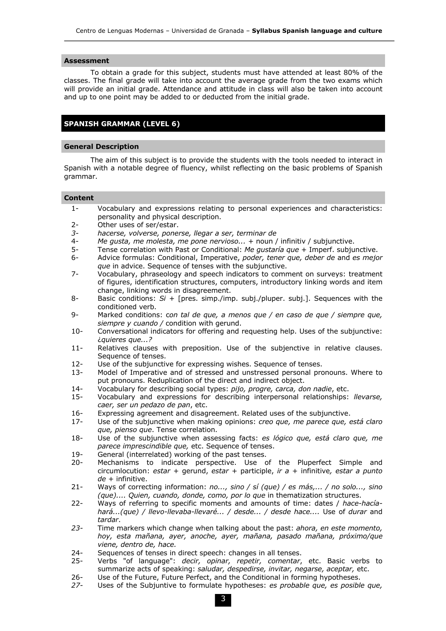#### **Assessment**

To obtain a grade for this subject, students must have attended at least 80% of the classes. The final grade will take into account the average grade from the two exams which will provide an initial grade. Attendance and attitude in class will also be taken into account and up to one point may be added to or deducted from the initial grade.

### **SPANISH GRAMMAR (LEVEL 6)**

#### **General Description**

The aim of this subject is to provide the students with the tools needed to interact in Spanish with a notable degree of fluency, whilst reflecting on the basic problems of Spanish grammar.

#### **Content**

- 1- Vocabulary and expressions relating to personal experiences and characteristics: personality and physical description.
- 2- Other uses of ser/estar.
- *3- hacerse, volverse, ponerse, llegar a ser, terminar de*
- 4- *Me gusta, me molesta, me pone nervioso...* + noun / infinitiv / subjunctive.
- 5- Tense correlation with Past or Conditional: *Me gustaría que* + Imperf. subjunctive.
- 6- Advice formulas: Conditional, Imperative, *poder, tener que, deber de* and *es mejor que* in advice. Sequence of tenses with the subjunctive.
- 7- Vocabulary, phraseology and speech indicators to comment on surveys: treatment of figures, identification structures, computers, introductory linking words and item change, linking words in disagreement.
- 8- Basic conditions: *Si* + [pres. simp./imp. subj./pluper. subj.]. Sequences with the conditioned verb.
- 9- Marked conditions: c*on tal de que, a menos que / en caso de que / siempre que, siempre y cuando /* condition with gerund.
- 10- Conversational indicators for offering and requesting help. Uses of the subjunctive: ¿*quieres que...?*
- 11- Relatives clauses with preposition. Use of the subjenctive in relative clauses. Sequence of tenses.
- 12- Use of the subjunctive for expressing wishes. Sequence of tenses.
- 13- Model of Imperative and of stressed and unstressed personal pronouns. Where to put pronouns. Reduplication of the direct and indirect object.
- 14- Vocabulary for describing social types: *pijo, progre, carca, don nadie*, etc.
- 15- Vocabulary and expressions for describing interpersonal relationships: *llevarse, caer, ser un pedazo de pan*, etc.
- 16- Expressing agreement and disagreement. Related uses of the subjunctive.
- 17- Use of the subjunctive when making opinions: *creo que, me parece que, está claro que, pienso que*. Tense correlation.
- 18- Use of the subjunctive when assessing facts: *es lógico que, está claro que, me parece imprescindible que,* etc. Sequence of tenses.
- 19- General (interrelated) working of the past tenses.
- 20- Mechanisms to indicate perspective. Use of the Pluperfect Simple and circumlocution: *estar* + gerund, *estar* + participle, *ir a* + infinitive*, estar a punto de* + infinitive.
- 21- Ways of correcting information: *no..., sino / sí (que) / es más,... / no solo..., sino (que).... Quien, cuando, donde, como, por lo que* in thematization structures.
- 22- Ways of referring to specific moments and amounts of time: dates / *hace-hacíahará...(que) / llevo-llevaba-llevaré... / desde... / desde hace....* Use of *durar* and *tardar*.
- *23-* Time markers which change when talking about the past: *ahora, en este momento, hoy, esta mañana, ayer, anoche, ayer, mañana, pasado mañana, próximo/que viene, dentro de, hace.*
- 24- Sequences of tenses in direct speech: changes in all tenses.
- 25- Verbs "of language": *decir, opinar, repetir, comentar*, etc. Basic verbs to summarize acts of speaking: *saludar, despedirse, invitar, negarse, aceptar,* etc.
- 26- Use of the Future, Future Perfect, and the Conditional in forming hypotheses.
- *27-* Uses of the Subjuntive to formulate hypotheses: *es probable que, es posible que,*